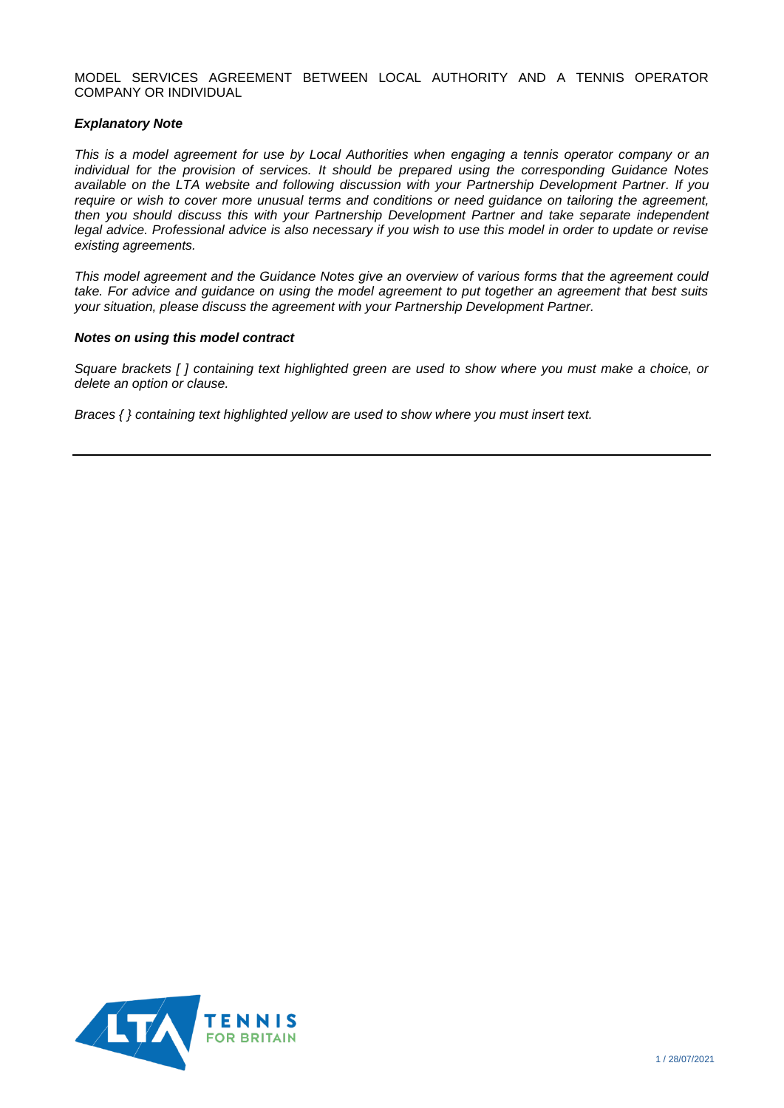### MODEL SERVICES AGREEMENT BETWEEN LOCAL AUTHORITY AND A TENNIS OPERATOR COMPANY OR INDIVIDUAL

### *Explanatory Note*

*This is a model agreement for use by Local Authorities when engaging a tennis operator company or an individual for the provision of services. It should be prepared using the corresponding Guidance Notes available on the LTA website and following discussion with your Partnership Development Partner. If you require or wish to cover more unusual terms and conditions or need guidance on tailoring the agreement, then you should discuss this with your Partnership Development Partner and take separate independent legal advice. Professional advice is also necessary if you wish to use this model in order to update or revise existing agreements.*

*This model agreement and the Guidance Notes give an overview of various forms that the agreement could take. For advice and guidance on using the model agreement to put together an agreement that best suits your situation, please discuss the agreement with your Partnership Development Partner.*

### *Notes on using this model contract*

*Square brackets [ ] containing text highlighted green are used to show where you must make a choice, or delete an option or clause.*

*Braces { } containing text highlighted yellow are used to show where you must insert text.*

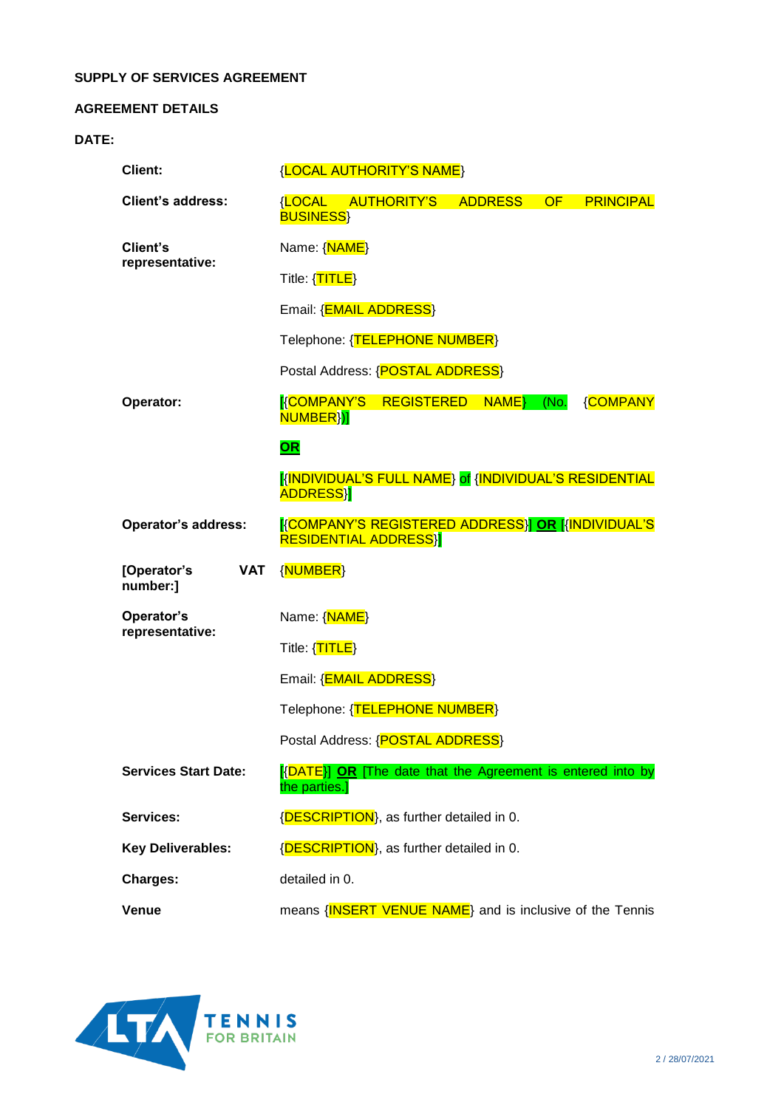## **SUPPLY OF SERVICES AGREEMENT**

## **AGREEMENT DETAILS**

# **DATE:**

| Client:                     |            | <b>{LOCAL AUTHORITY'S NAME}</b>                                                 |                                                             |                |    |                  |
|-----------------------------|------------|---------------------------------------------------------------------------------|-------------------------------------------------------------|----------------|----|------------------|
| <b>Client's address:</b>    |            | <b>{LOCAL</b><br><b>BUSINESS</b>                                                | <b>AUTHORITY'S</b>                                          | <b>ADDRESS</b> | OF | <b>PRINCIPAL</b> |
| Client's<br>representative: |            | Name: {NAME}                                                                    |                                                             |                |    |                  |
|                             |            | Title: {TITLE}                                                                  |                                                             |                |    |                  |
|                             |            | Email: { <b>EMAIL ADDRESS</b> }                                                 |                                                             |                |    |                  |
|                             |            | Telephone: {TELEPHONE NUMBER}                                                   |                                                             |                |    |                  |
|                             |            | Postal Address: {POSTAL ADDRESS}                                                |                                                             |                |    |                  |
| Operator:                   |            | <b>KCOMPANY'S</b><br>NUMBER <sup>}</sup> )]                                     | <b>REGISTERED</b>                                           | NAME (No.      |    | <b>{COMPANY</b>  |
|                             |            | <b>OR</b>                                                                       |                                                             |                |    |                  |
|                             |            | <b>ADDRESSY</b>                                                                 | KINDIVIDUAL'S FULL NAME} of {INDIVIDUAL'S RESIDENTIAL       |                |    |                  |
| <b>Operator's address:</b>  |            | KCOMPANY'S REGISTERED ADDRESSY OR KINDIVIDUAL'S<br><b>RESIDENTIAL ADDRESS}]</b> |                                                             |                |    |                  |
|                             |            |                                                                                 |                                                             |                |    |                  |
| [Operator's<br>number:]     | <b>VAT</b> | {NUMBER}                                                                        |                                                             |                |    |                  |
| Operator's                  |            | Name: {NAME}                                                                    |                                                             |                |    |                  |
| representative:             |            | Title: {TITLE}                                                                  |                                                             |                |    |                  |
|                             |            |                                                                                 | Email: { <b>EMAIL ADDRESS</b> }                             |                |    |                  |
|                             |            |                                                                                 | Telephone: {TELEPHONE NUMBER}                               |                |    |                  |
|                             |            |                                                                                 | Postal Address: {POSTAL ADDRESS}                            |                |    |                  |
| <b>Services Start Date:</b> |            | the parties.]                                                                   | [{DATE}] OR [The date that the Agreement is entered into by |                |    |                  |
| Services:                   |            |                                                                                 | {DESCRIPTION}, as further detailed in 0.                    |                |    |                  |
| <b>Key Deliverables:</b>    |            |                                                                                 | {DESCRIPTION}, as further detailed in 0.                    |                |    |                  |
| <b>Charges:</b>             |            | detailed in 0.                                                                  |                                                             |                |    |                  |

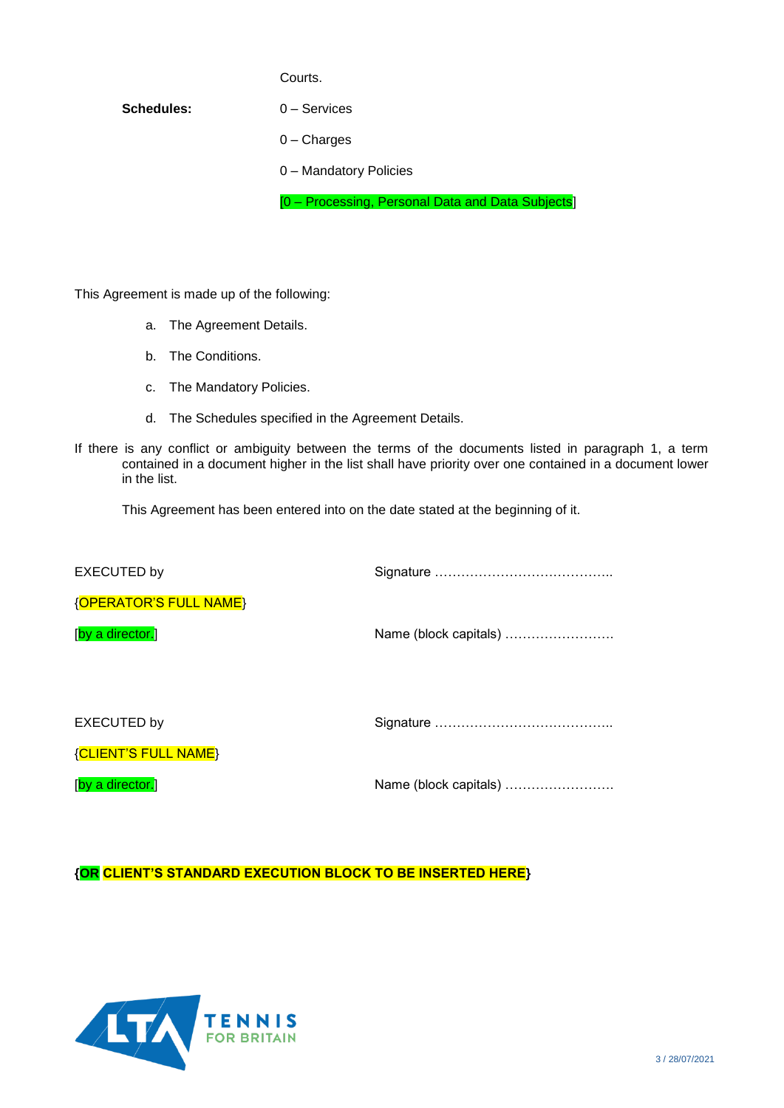### Courts.

# **Schedules:** [0](#page-14-0) – Services

- [0](#page-15-0) Charges
- [0](#page-16-0) Mandatory Policies

[\[0](#page-17-0) – Processing, Personal Data and Data Subjects]

This Agreement is made up of the following:

- a. The Agreement Details.
- b. The Conditions.
- c. The Mandatory Policies.
- d. The Schedules specified in the Agreement Details.
- If there is any conflict or ambiguity between the terms of the documents listed in paragraph 1, a term contained in a document higher in the list shall have priority over one contained in a document lower in the list.

This Agreement has been entered into on the date stated at the beginning of it.

Signature …………………………………..

{OPERATOR'S FULL NAME}

[by a director.]

EXECUTED by

Name (block capitals) …………………….

EXECUTED by

Signature …………………………………..

{CLIENT'S FULL NAME}

[by a director.]

Name (block capitals) …………………….

**{OR CLIENT'S STANDARD EXECUTION BLOCK TO BE INSERTED HERE}**

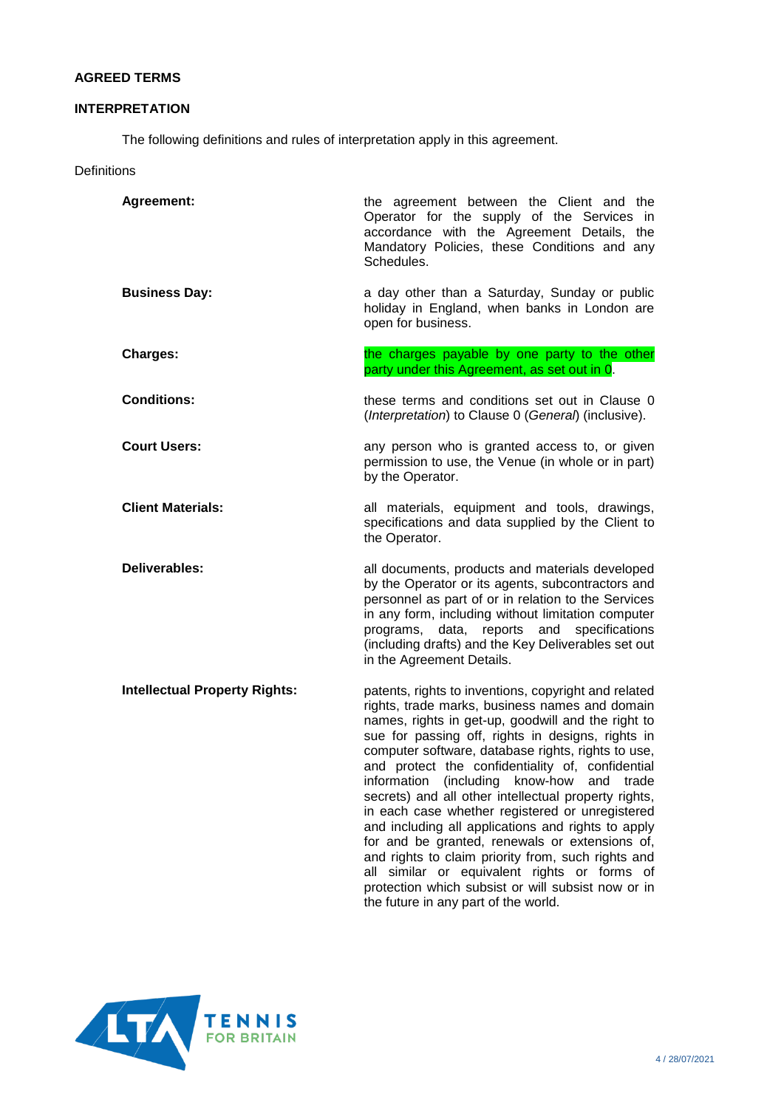## **AGREED TERMS**

# <span id="page-3-0"></span>**INTERPRETATION**

The following definitions and rules of interpretation apply in this agreement.

**Definitions** 

| <b>Agreement:</b>                    | the agreement between the Client and the<br>Operator for the supply of the Services in<br>accordance with the Agreement Details, the<br>Mandatory Policies, these Conditions and any<br>Schedules.                                                                                                                                                                                                                                                                                                                                                                                                                                                                                                                                                                                              |
|--------------------------------------|-------------------------------------------------------------------------------------------------------------------------------------------------------------------------------------------------------------------------------------------------------------------------------------------------------------------------------------------------------------------------------------------------------------------------------------------------------------------------------------------------------------------------------------------------------------------------------------------------------------------------------------------------------------------------------------------------------------------------------------------------------------------------------------------------|
| <b>Business Day:</b>                 | a day other than a Saturday, Sunday or public<br>holiday in England, when banks in London are<br>open for business.                                                                                                                                                                                                                                                                                                                                                                                                                                                                                                                                                                                                                                                                             |
| Charges:                             | the charges payable by one party to the other<br>party under this Agreement, as set out in 0.                                                                                                                                                                                                                                                                                                                                                                                                                                                                                                                                                                                                                                                                                                   |
| <b>Conditions:</b>                   | these terms and conditions set out in Clause 0<br>(Interpretation) to Clause 0 (General) (inclusive).                                                                                                                                                                                                                                                                                                                                                                                                                                                                                                                                                                                                                                                                                           |
| <b>Court Users:</b>                  | any person who is granted access to, or given<br>permission to use, the Venue (in whole or in part)<br>by the Operator.                                                                                                                                                                                                                                                                                                                                                                                                                                                                                                                                                                                                                                                                         |
| <b>Client Materials:</b>             | all materials, equipment and tools, drawings,<br>specifications and data supplied by the Client to<br>the Operator.                                                                                                                                                                                                                                                                                                                                                                                                                                                                                                                                                                                                                                                                             |
| Deliverables:                        | all documents, products and materials developed<br>by the Operator or its agents, subcontractors and<br>personnel as part of or in relation to the Services<br>in any form, including without limitation computer<br>data, reports and<br>specifications<br>programs,<br>(including drafts) and the Key Deliverables set out<br>in the Agreement Details.                                                                                                                                                                                                                                                                                                                                                                                                                                       |
| <b>Intellectual Property Rights:</b> | patents, rights to inventions, copyright and related<br>rights, trade marks, business names and domain<br>names, rights in get-up, goodwill and the right to<br>sue for passing off, rights in designs, rights in<br>computer software, database rights, rights to use,<br>and protect the confidentiality of, confidential<br>information (including know-how and trade<br>secrets) and all other intellectual property rights,<br>in each case whether registered or unregistered<br>and including all applications and rights to apply<br>for and be granted, renewals or extensions of,<br>and rights to claim priority from, such rights and<br>all similar or equivalent rights or forms of<br>protection which subsist or will subsist now or in<br>the future in any part of the world. |

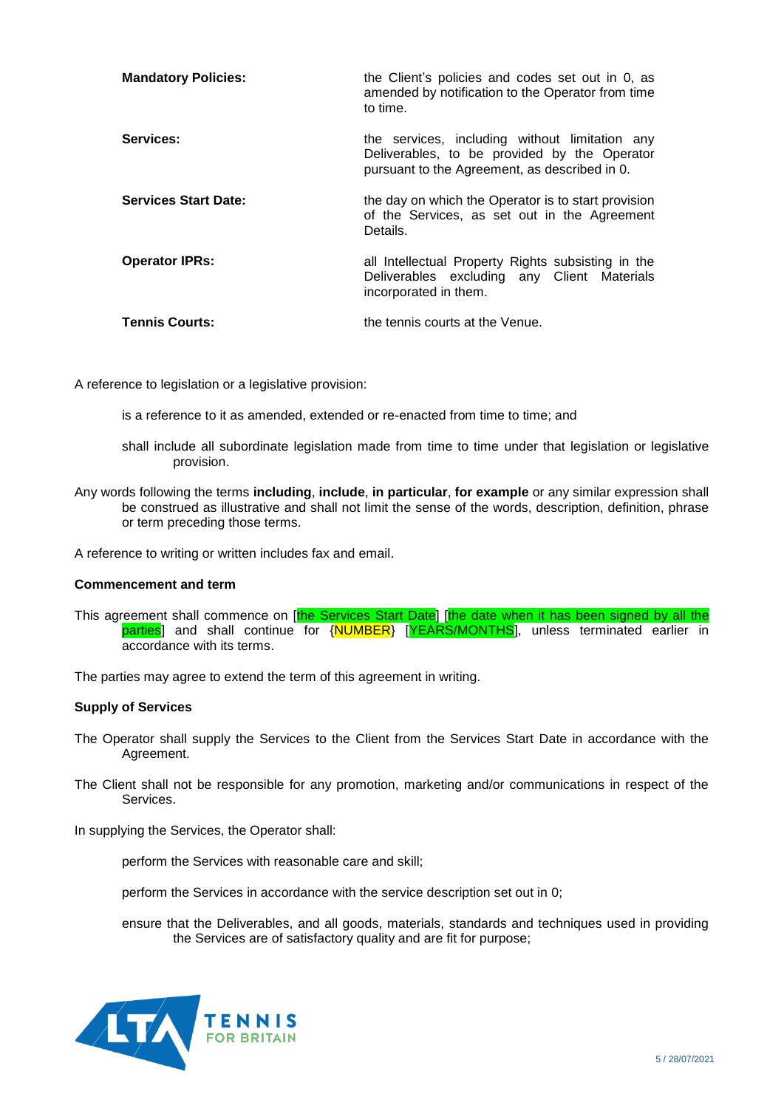| <b>Mandatory Policies:</b>  | the Client's policies and codes set out in 0, as<br>amended by notification to the Operator from time<br>to time.                               |
|-----------------------------|-------------------------------------------------------------------------------------------------------------------------------------------------|
| Services:                   | the services, including without limitation any<br>Deliverables, to be provided by the Operator<br>pursuant to the Agreement, as described in 0. |
| <b>Services Start Date:</b> | the day on which the Operator is to start provision<br>of the Services, as set out in the Agreement<br>Details.                                 |
| <b>Operator IPRs:</b>       | all Intellectual Property Rights subsisting in the<br>Deliverables excluding any Client Materials<br>incorporated in them.                      |
| <b>Tennis Courts:</b>       | the tennis courts at the Venue.                                                                                                                 |

A reference to legislation or a legislative provision:

is a reference to it as amended, extended or re-enacted from time to time; and

- shall include all subordinate legislation made from time to time under that legislation or legislative provision.
- Any words following the terms **including**, **include**, **in particular**, **for example** or any similar expression shall be construed as illustrative and shall not limit the sense of the words, description, definition, phrase or term preceding those terms.

A reference to writing or written includes fax and email.

#### **Commencement and term**

This agreement shall commence on [the Services Start Date] [the date when it has been signed by all the parties] and shall continue for {NUMBER} [YEARS/MONTHS], unless terminated earlier in accordance with its terms.

The parties may agree to extend the term of this agreement in writing.

### **Supply of Services**

- The Operator shall supply the Services to the Client from the Services Start Date in accordance with the Agreement.
- The Client shall not be responsible for any promotion, marketing and/or communications in respect of the Services.

In supplying the Services, the Operator shall:

perform the Services with reasonable care and skill;

perform the Services in accordance with the service description set out in [0;](#page-14-0)

ensure that the Deliverables, and all goods, materials, standards and techniques used in providing the Services are of satisfactory quality and are fit for purpose;

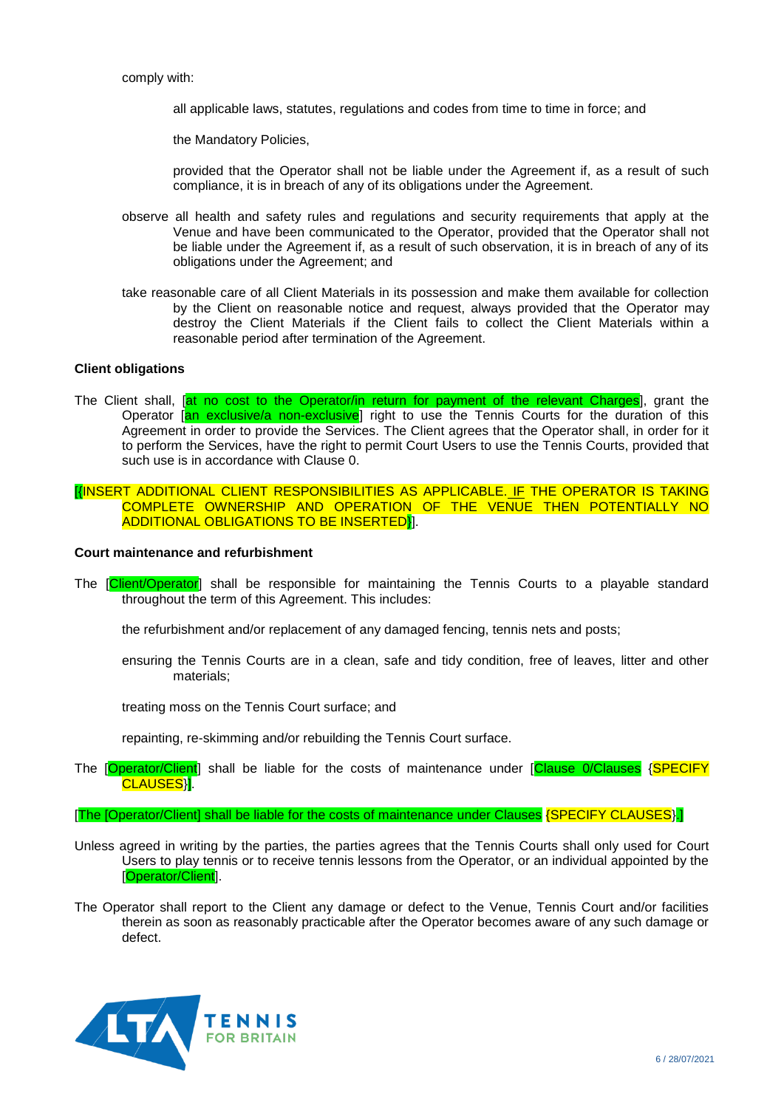comply with:

all applicable laws, statutes, regulations and codes from time to time in force; and

the Mandatory Policies,

provided that the Operator shall not be liable under the Agreement if, as a result of such compliance, it is in breach of any of its obligations under the Agreement.

- observe all health and safety rules and regulations and security requirements that apply at the Venue and have been communicated to the Operator, provided that the Operator shall not be liable under the Agreement if, as a result of such observation, it is in breach of any of its obligations under the Agreement; and
- take reasonable care of all Client Materials in its possession and make them available for collection by the Client on reasonable notice and request, always provided that the Operator may destroy the Client Materials if the Client fails to collect the Client Materials within a reasonable period after termination of the Agreement.

#### **Client obligations**

<span id="page-5-2"></span>The Client shall, *[at no cost to the Operator/in return for payment of the relevant Charges]*, grant the Operator [an exclusive/a non-exclusive] right to use the Tennis Courts for the duration of this Agreement in order to provide the Services. The Client agrees that the Operator shall, in order for it to perform the Services, have the right to permit Court Users to use the Tennis Courts, provided that such use is in accordance with Clause [0.](#page-5-0)

[{INSERT ADDITIONAL CLIENT RESPONSIBILITIES AS APPLICABLE. IF THE OPERATOR IS TAKING COMPLETE OWNERSHIP AND OPERATION OF THE VENUE THEN POTENTIALLY NO ADDITIONAL OBLIGATIONS TO BE INSERTED}].

#### **Court maintenance and refurbishment**

<span id="page-5-1"></span>The [Client/Operator] shall be responsible for maintaining the Tennis Courts to a playable standard throughout the term of this Agreement. This includes:

the refurbishment and/or replacement of any damaged fencing, tennis nets and posts;

ensuring the Tennis Courts are in a clean, safe and tidy condition, free of leaves, litter and other materials;

treating moss on the Tennis Court surface; and

repainting, re-skimming and/or rebuilding the Tennis Court surface.

The [Operator/Client] shall be liable for the costs of maintenance under [Clause [0/](#page-5-1)Clauses {SPECIFY CLAUSES<sup>}</sup>].

#### [The [Operator/Client] shall be liable for the costs of maintenance under Clauses {SPECIFY CLAUSES}.]

- <span id="page-5-0"></span>Unless agreed in writing by the parties, the parties agrees that the Tennis Courts shall only used for Court Users to play tennis or to receive tennis lessons from the Operator, or an individual appointed by the [Operator/Client].
- The Operator shall report to the Client any damage or defect to the Venue, Tennis Court and/or facilities therein as soon as reasonably practicable after the Operator becomes aware of any such damage or defect.

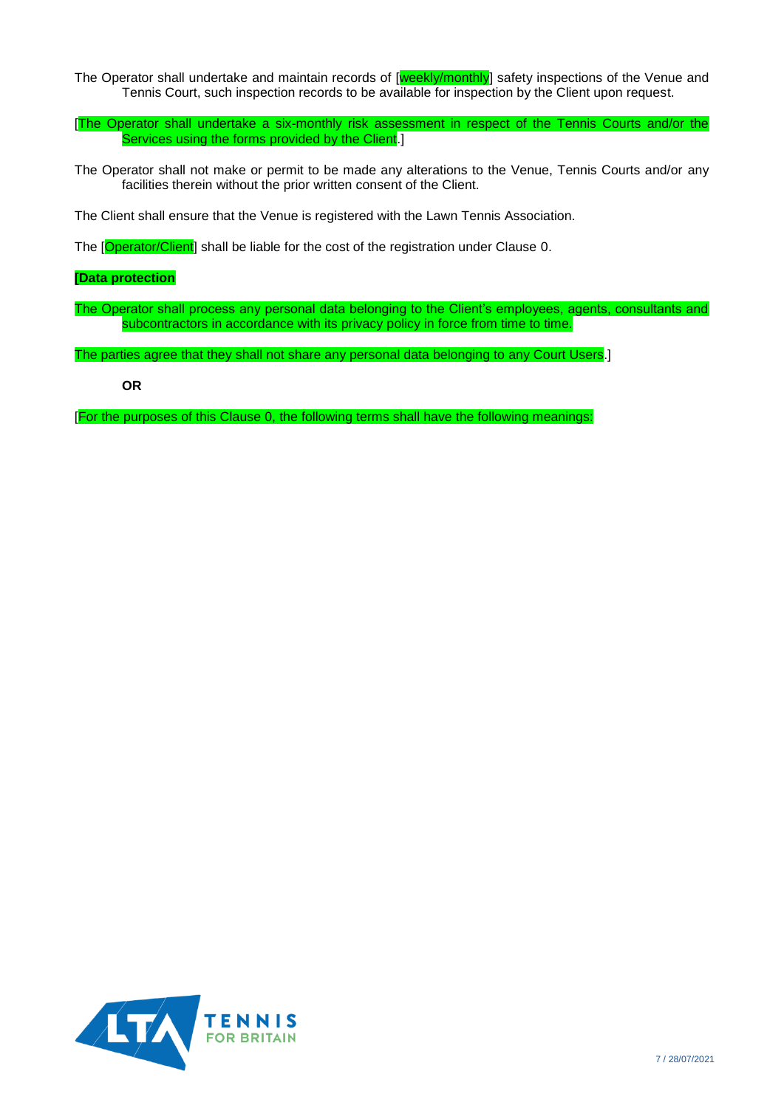- The Operator shall undertake and maintain records of [weekly/monthly] safety inspections of the Venue and Tennis Court, such inspection records to be available for inspection by the Client upon request.
- [The Operator shall undertake a six-monthly risk assessment in respect of the Tennis Courts and/or the Services using the forms provided by the Client.
- The Operator shall not make or permit to be made any alterations to the Venue, Tennis Courts and/or any facilities therein without the prior written consent of the Client.

<span id="page-6-0"></span>The Client shall ensure that the Venue is registered with the Lawn Tennis Association.

The [Operator/Client] shall be liable for the cost of the registration under Clause [0.](#page-6-0)

### <span id="page-6-1"></span>**[Data protection**

The Operator shall process any personal data belonging to the Client's employees, agents, consultants and subcontractors in accordance with its privacy policy in force from time to time.

<span id="page-6-2"></span>The parties agree that they shall not share any personal data belonging to any Court Users.

**OR**

[For the purposes of this Clause [0,](#page-6-1) the following terms shall have the following meanings:

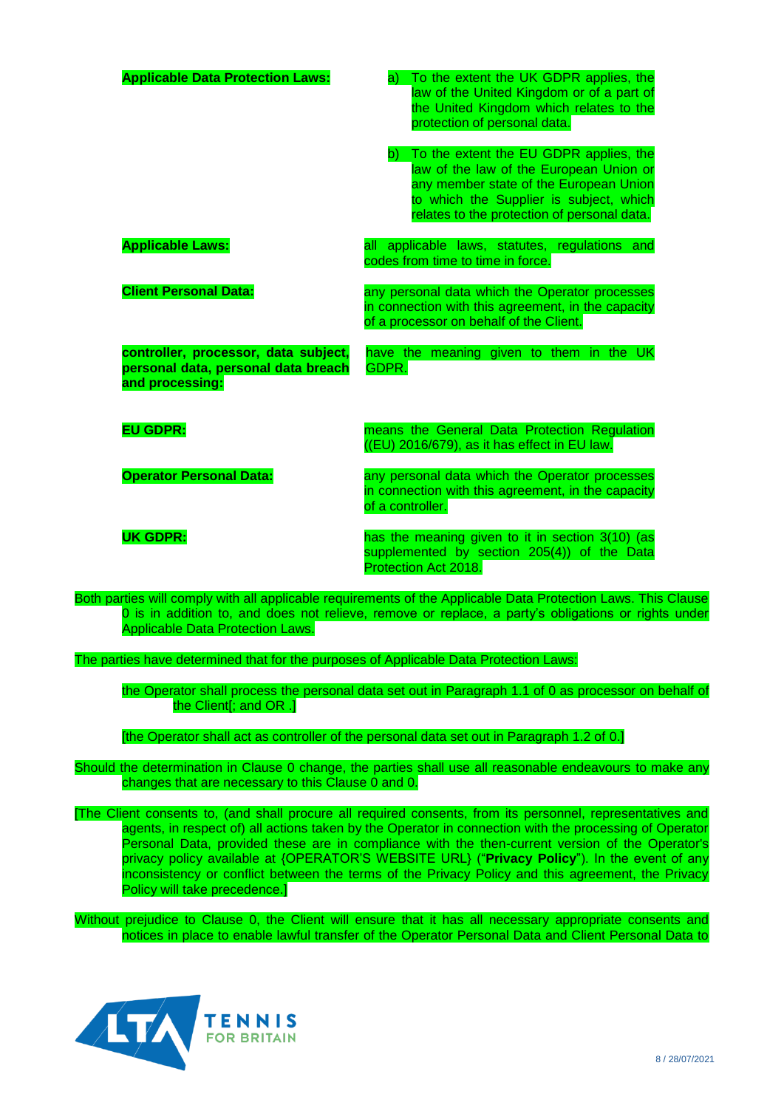| <b>Applicable Data Protection Laws:</b>                                                        | a) To the extent the UK GDPR applies, the<br>law of the United Kingdom or of a part of<br>the United Kingdom which relates to the<br>protection of personal data.                                                                    |
|------------------------------------------------------------------------------------------------|--------------------------------------------------------------------------------------------------------------------------------------------------------------------------------------------------------------------------------------|
|                                                                                                | b) To the extent the EU GDPR applies, the<br>law of the law of the European Union or<br>any member state of the European Union<br>to which the Supplier is subject, which<br>relates to the protection of personal data.             |
| <b>Applicable Laws:</b>                                                                        | all applicable laws, statutes, regulations and<br>codes from time to time in force.                                                                                                                                                  |
| <b>Client Personal Data:</b>                                                                   | any personal data which the Operator processes<br>in connection with this agreement, in the capacity<br>of a processor on behalf of the Client.                                                                                      |
| controller, processor, data subject,<br>personal data, personal data breach<br>and processing: | have the meaning given to them in the UK<br>GDPR.                                                                                                                                                                                    |
| <b>EU GDPR:</b>                                                                                | means the General Data Protection Regulation<br>((EU) 2016/679), as it has effect in EU law.                                                                                                                                         |
| <b>Operator Personal Data:</b>                                                                 | any personal data which the Operator processes<br>in connection with this agreement, in the capacity<br>of a controller.                                                                                                             |
| <b>UK GDPR:</b>                                                                                | has the meaning given to it in section 3(10) (as<br>supplemented by section 205(4)) of the Data<br>Protection Act 2018.<br>ertice will comply with all applicable requirements of the Applicable Date Protection Laws<br><b>This</b> |

<span id="page-7-1"></span>Both parties will comply with all applicable requirements of the Applicable Data Protection Laws. This Clause [0](#page-6-1) is in addition to, and does not relieve, remove or replace, a party's obligations or rights under Applicable Data Protection Laws.

<span id="page-7-0"></span>The parties have determined that for the purposes of Applicable Data Protection Laws:

the Operator shall process the personal data set out in Paragraph 1.1 of [0](#page-17-0) as processor on behalf of the Client[; and OR .]

[the Operator shall act as controller of the personal data set out in Paragraph 1.2 of [0.](#page-17-0)]

Should the determination in Clause [0](#page-7-0) change, the parties shall use all reasonable endeavours to make any changes that are necessary to this Clause [0](#page-6-1) and [0.](#page-17-0)

[The Client consents to, (and shall procure all required consents, from its personnel, representatives and agents, in respect of) all actions taken by the Operator in connection with the processing of Operator Personal Data, provided these are in compliance with the then-current version of the Operator's privacy policy available at {OPERATOR'S WEBSITE URL} ("**Privacy Policy**"). In the event of any inconsistency or conflict between the terms of the Privacy Policy and this agreement, the Privacy Policy will take precedence.]

Without prejudice to Clause [0,](#page-6-2) the Client will ensure that it has all necessary appropriate consents and notices in place to enable lawful transfer of the Operator Personal Data and Client Personal Data to

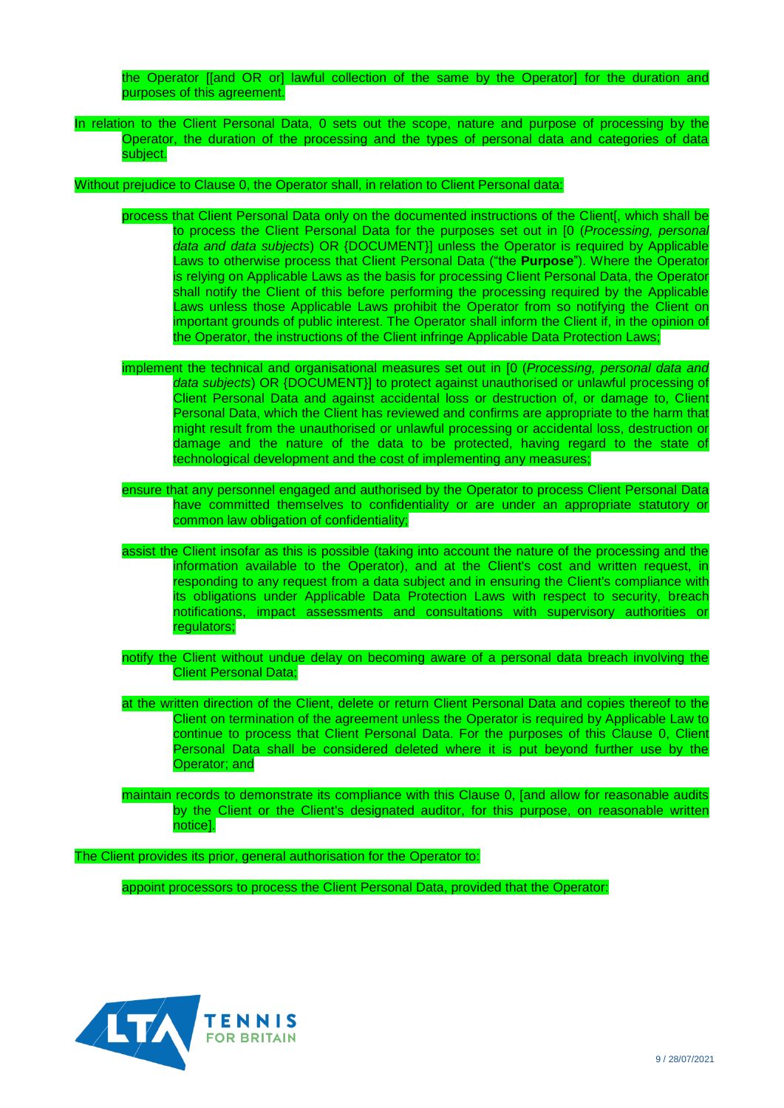the Operator [[and OR or] lawful collection of the same by the Operator] for the duration and purposes of this agreement.

In relation to the Client Personal Data, [0](#page-17-0) sets out the scope, nature and purpose of processing by the Operator, the duration of the processing and the types of personal data and categories of data subject.

Without prejudice to Clause [0,](#page-7-1) the Operator shall, in relation to Client Personal data:

- process that Client Personal Data only on the documented instructions of the Client[, which shall be to process the Client Personal Data for the purposes set out in [\[0](#page-17-0) (*Processing, personal data and data subjects*) OR {DOCUMENT}] unless the Operator is required by Applicable Laws to otherwise process that Client Personal Data ("the **Purpose**"). Where the Operator is relying on Applicable Laws as the basis for processing Client Personal Data, the Operator shall notify the Client of this before performing the processing required by the Applicable Laws unless those Applicable Laws prohibit the Operator from so notifying the Client on important grounds of public interest. The Operator shall inform the Client if, in the opinion of the Operator, the instructions of the Client infringe Applicable Data Protection Laws;
- implement the technical and organisational measures set out in [\[0](#page-17-0) (*Processing, personal data and data subjects*) OR {DOCUMENT}] to protect against unauthorised or unlawful processing of Client Personal Data and against accidental loss or destruction of, or damage to, Client Personal Data, which the Client has reviewed and confirms are appropriate to the harm that might result from the unauthorised or unlawful processing or accidental loss, destruction or damage and the nature of the data to be protected, having regard to the state of technological development and the cost of implementing any measures;
- ensure that any personnel engaged and authorised by the Operator to process Client Personal Data have committed themselves to confidentiality or are under an appropriate statutory or common law obligation of confidentiality;
- assist the Client insofar as this is possible (taking into account the nature of the processing and the information available to the Operator), and at the Client's cost and written request, in responding to any request from a data subject and in ensuring the Client's compliance with its obligations under Applicable Data Protection Laws with respect to security, breach notifications, impact assessments and consultations with supervisory authorities or regulators;
- notify the Client without undue delay on becoming aware of a personal data breach involving the Client Personal Data;
- <span id="page-8-0"></span>at the written direction of the Client, delete or return Client Personal Data and copies thereof to the Client on termination of the agreement unless the Operator is required by Applicable Law to continue to process that Client Personal Data. For the purposes of this Clause [0,](#page-8-0) Client Personal Data shall be considered deleted where it is put beyond further use by the Operator; and
- maintain records to demonstrate its compliance with this Clause [0,](#page-6-1) [and allow for reasonable audits by the Client or the Client's designated auditor, for this purpose, on reasonable written notice].

The Client provides its prior, general authorisation for the Operator to:

appoint processors to process the Client Personal Data, provided that the Operator:

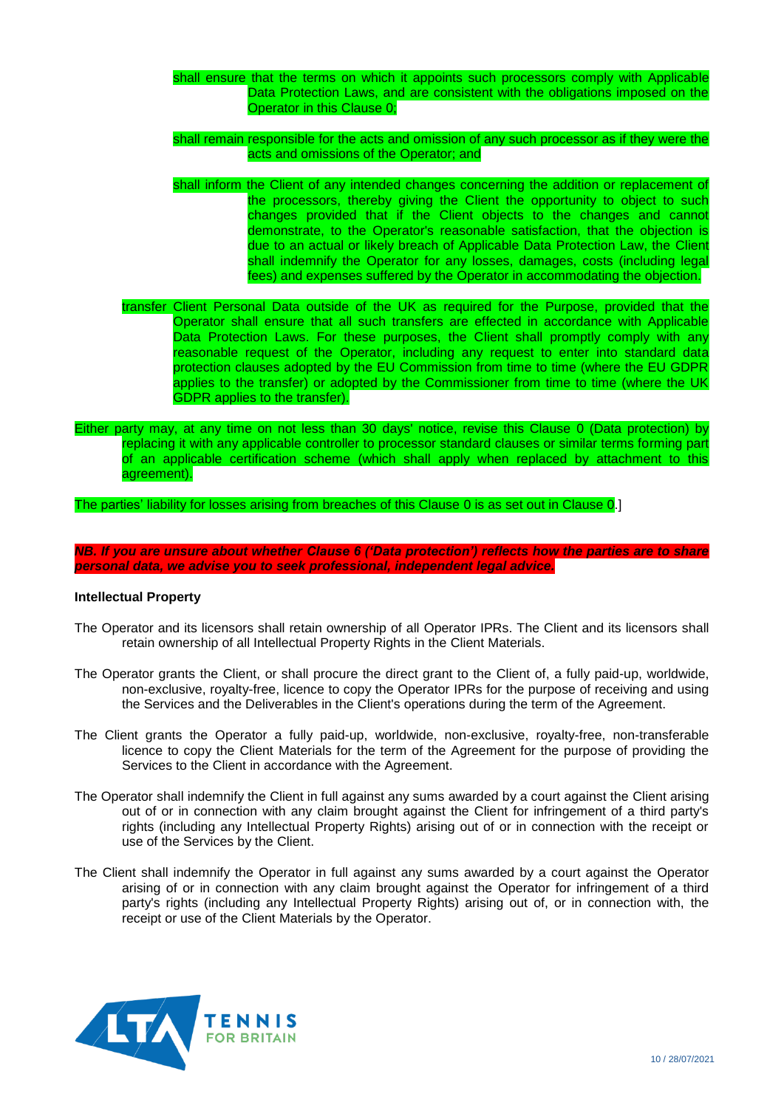- shall ensure that the terms on which it appoints such processors comply with Applicable Data Protection Laws, and are consistent with the obligations imposed on the Operator in this Clause [0;](#page-6-1)
- shall remain responsible for the acts and omission of any such processor as if they were the acts and omissions of the Operator; and
- shall inform the Client of any intended changes concerning the addition or replacement of the processors, thereby giving the Client the opportunity to object to such changes provided that if the Client objects to the changes and cannot demonstrate, to the Operator's reasonable satisfaction, that the objection is due to an actual or likely breach of Applicable Data Protection Law, the Client shall indemnify the Operator for any losses, damages, costs (including legal fees) and expenses suffered by the Operator in accommodating the objection.
- transfer Client Personal Data outside of the UK as required for the Purpose, provided that the Operator shall ensure that all such transfers are effected in accordance with Applicable Data Protection Laws. For these purposes, the Client shall promptly comply with any reasonable request of the Operator, including any request to enter into standard data protection clauses adopted by the EU Commission from time to time (where the EU GDPR applies to the transfer) or adopted by the Commissioner from time to time (where the UK GDPR applies to the transfer).
- Either party may, at any time on not less than 30 days' notice, revise this Clause [0](#page-6-1) (Data protection) by replacing it with any applicable controller to processor standard clauses or similar terms forming part of an applicable certification scheme (which shall apply when replaced by attachment to this agreement).

The parties' liability for losses arising from breaches of this Clause [0](#page-6-1) is as set out in Clause [0.](#page-10-0)]

*NB. If you are unsure about whether Clause 6 ('Data protection') reflects how the parties are to share personal data, we advise you to seek professional, independent legal advice.*

### **Intellectual Property**

- The Operator and its licensors shall retain ownership of all Operator IPRs. The Client and its licensors shall retain ownership of all Intellectual Property Rights in the Client Materials.
- The Operator grants the Client, or shall procure the direct grant to the Client of, a fully paid-up, worldwide, non-exclusive, royalty-free, licence to copy the Operator IPRs for the purpose of receiving and using the Services and the Deliverables in the Client's operations during the term of the Agreement.
- The Client grants the Operator a fully paid-up, worldwide, non-exclusive, royalty-free, non-transferable licence to copy the Client Materials for the term of the Agreement for the purpose of providing the Services to the Client in accordance with the Agreement.
- The Operator shall indemnify the Client in full against any sums awarded by a court against the Client arising out of or in connection with any claim brought against the Client for infringement of a third party's rights (including any Intellectual Property Rights) arising out of or in connection with the receipt or use of the Services by the Client.
- The Client shall indemnify the Operator in full against any sums awarded by a court against the Operator arising of or in connection with any claim brought against the Operator for infringement of a third party's rights (including any Intellectual Property Rights) arising out of, or in connection with, the receipt or use of the Client Materials by the Operator.

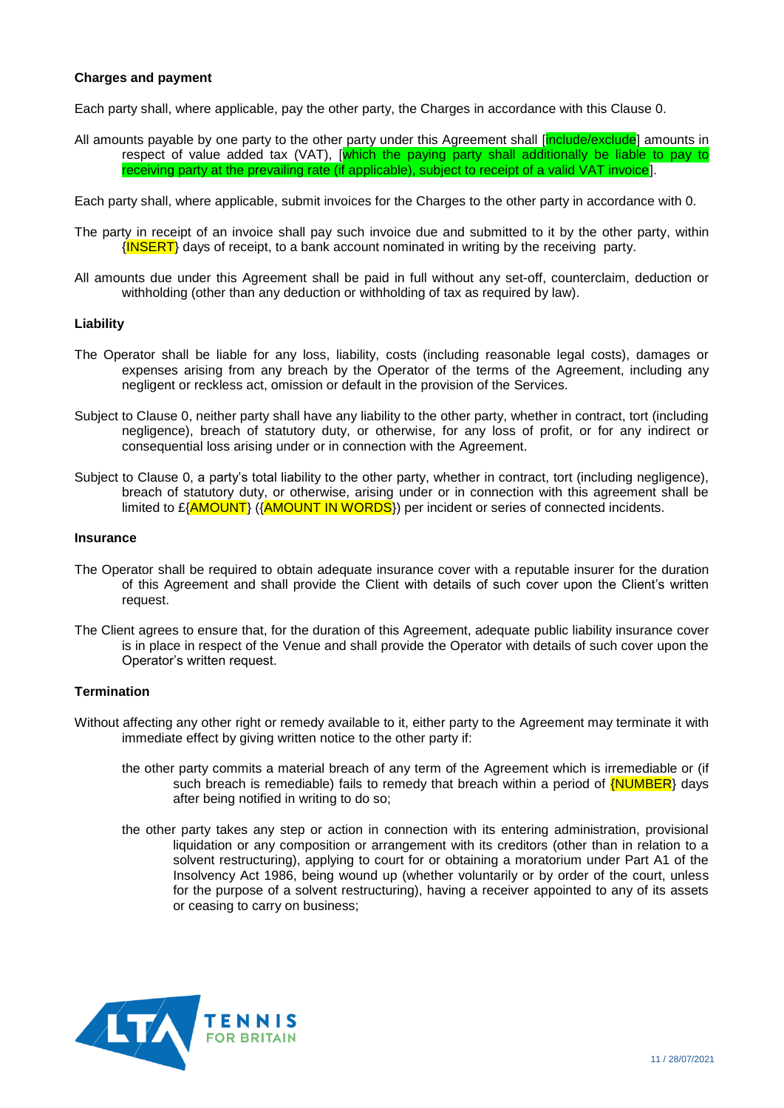### <span id="page-10-1"></span>**Charges and payment**

Each party shall, where applicable, pay the other party, the Charges in accordance with this Clause [0.](#page-10-1)

All amounts payable by one party to the other party under this Agreement shall [*include/exclude*] amounts in respect of value added tax (VAT), [which the paying party shall additionally be liable to pay to receiving party at the prevailing rate (if applicable), subject to receipt of a valid VAT invoice].

Each party shall, where applicable, submit invoices for the Charges to the other party in accordance with [0.](#page-15-0)

- The party in receipt of an invoice shall pay such invoice due and submitted to it by the other party, within  $\langle$  INSERT) days of receipt, to a bank account nominated in writing by the receiving party.
- <span id="page-10-0"></span>All amounts due under this Agreement shall be paid in full without any set-off, counterclaim, deduction or withholding (other than any deduction or withholding of tax as required by law).

#### **Liability**

- <span id="page-10-2"></span>The Operator shall be liable for any loss, liability, costs (including reasonable legal costs), damages or expenses arising from any breach by the Operator of the terms of the Agreement, including any negligent or reckless act, omission or default in the provision of the Services.
- Subject to Clause [0,](#page-10-2) neither party shall have any liability to the other party, whether in contract, tort (including negligence), breach of statutory duty, or otherwise, for any loss of profit, or for any indirect or consequential loss arising under or in connection with the Agreement.
- Subject to Clause [0,](#page-10-2) a party's total liability to the other party, whether in contract, tort (including negligence), breach of statutory duty, or otherwise, arising under or in connection with this agreement shall be limited to £{AMOUNT} ({AMOUNT IN WORDS}) per incident or series of connected incidents.

#### **Insurance**

- The Operator shall be required to obtain adequate insurance cover with a reputable insurer for the duration of this Agreement and shall provide the Client with details of such cover upon the Client's written request.
- The Client agrees to ensure that, for the duration of this Agreement, adequate public liability insurance cover is in place in respect of the Venue and shall provide the Operator with details of such cover upon the Operator's written request.

#### <span id="page-10-4"></span>**Termination**

- <span id="page-10-3"></span>Without affecting any other right or remedy available to it, either party to the Agreement may terminate it with immediate effect by giving written notice to the other party if:
	- the other party commits a material breach of any term of the Agreement which is irremediable or (if such breach is remediable) fails to remedy that breach within a period of  $\{NUMBER\}$  days after being notified in writing to do so;
	- the other party takes any step or action in connection with its entering administration, provisional liquidation or any composition or arrangement with its creditors (other than in relation to a solvent restructuring), applying to court for or obtaining a moratorium under Part A1 of the Insolvency Act 1986, being wound up (whether voluntarily or by order of the court, unless for the purpose of a solvent restructuring), having a receiver appointed to any of its assets or ceasing to carry on business;

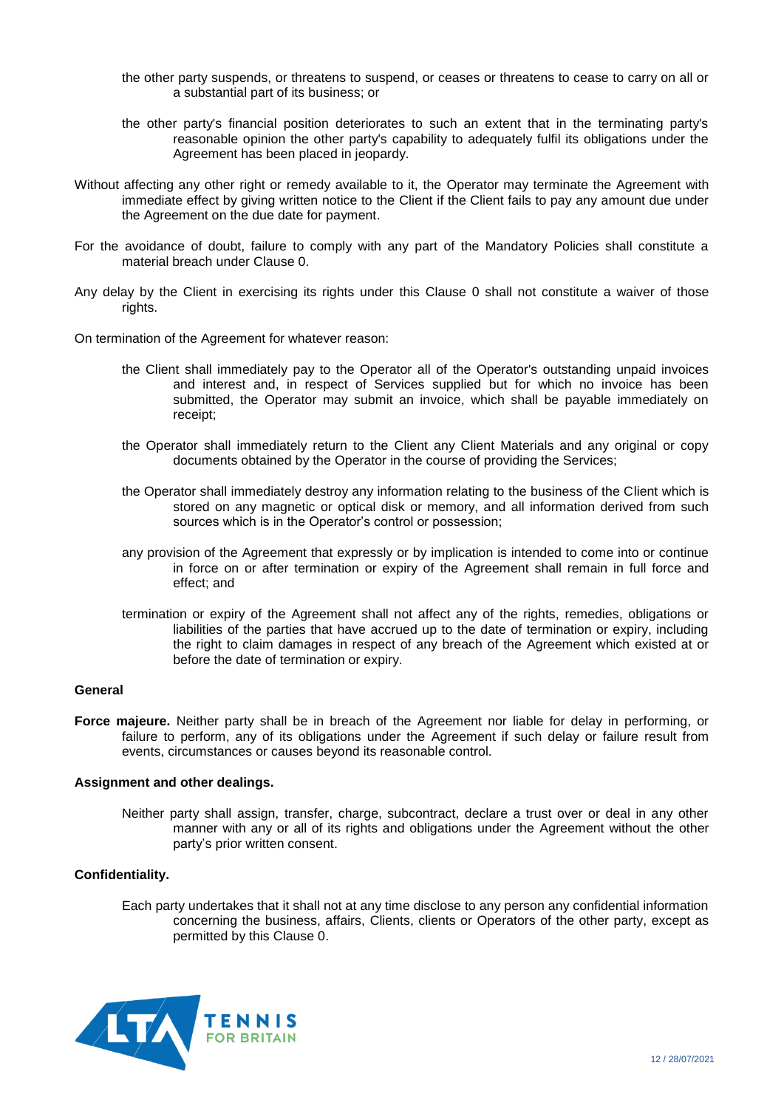- the other party suspends, or threatens to suspend, or ceases or threatens to cease to carry on all or a substantial part of its business; or
- the other party's financial position deteriorates to such an extent that in the terminating party's reasonable opinion the other party's capability to adequately fulfil its obligations under the Agreement has been placed in jeopardy.
- Without affecting any other right or remedy available to it, the Operator may terminate the Agreement with immediate effect by giving written notice to the Client if the Client fails to pay any amount due under the Agreement on the due date for payment.
- For the avoidance of doubt, failure to comply with any part of the Mandatory Policies shall constitute a material breach under Clause [0.](#page-10-3)
- Any delay by the Client in exercising its rights under this Clause [0](#page-10-4) shall not constitute a waiver of those rights.
- On termination of the Agreement for whatever reason:
	- the Client shall immediately pay to the Operator all of the Operator's outstanding unpaid invoices and interest and, in respect of Services supplied but for which no invoice has been submitted, the Operator may submit an invoice, which shall be payable immediately on receipt;
	- the Operator shall immediately return to the Client any Client Materials and any original or copy documents obtained by the Operator in the course of providing the Services;
	- the Operator shall immediately destroy any information relating to the business of the Client which is stored on any magnetic or optical disk or memory, and all information derived from such sources which is in the Operator's control or possession;
	- any provision of the Agreement that expressly or by implication is intended to come into or continue in force on or after termination or expiry of the Agreement shall remain in full force and effect; and
	- termination or expiry of the Agreement shall not affect any of the rights, remedies, obligations or liabilities of the parties that have accrued up to the date of termination or expiry, including the right to claim damages in respect of any breach of the Agreement which existed at or before the date of termination or expiry.

### <span id="page-11-0"></span>**General**

**Force majeure.** Neither party shall be in breach of the Agreement nor liable for delay in performing, or failure to perform, any of its obligations under the Agreement if such delay or failure result from events, circumstances or causes beyond its reasonable control.

#### **Assignment and other dealings.**

Neither party shall assign, transfer, charge, subcontract, declare a trust over or deal in any other manner with any or all of its rights and obligations under the Agreement without the other party's prior written consent.

#### <span id="page-11-1"></span>**Confidentiality.**

Each party undertakes that it shall not at any time disclose to any person any confidential information concerning the business, affairs, Clients, clients or Operators of the other party, except as permitted by this Clause [0.](#page-11-1)

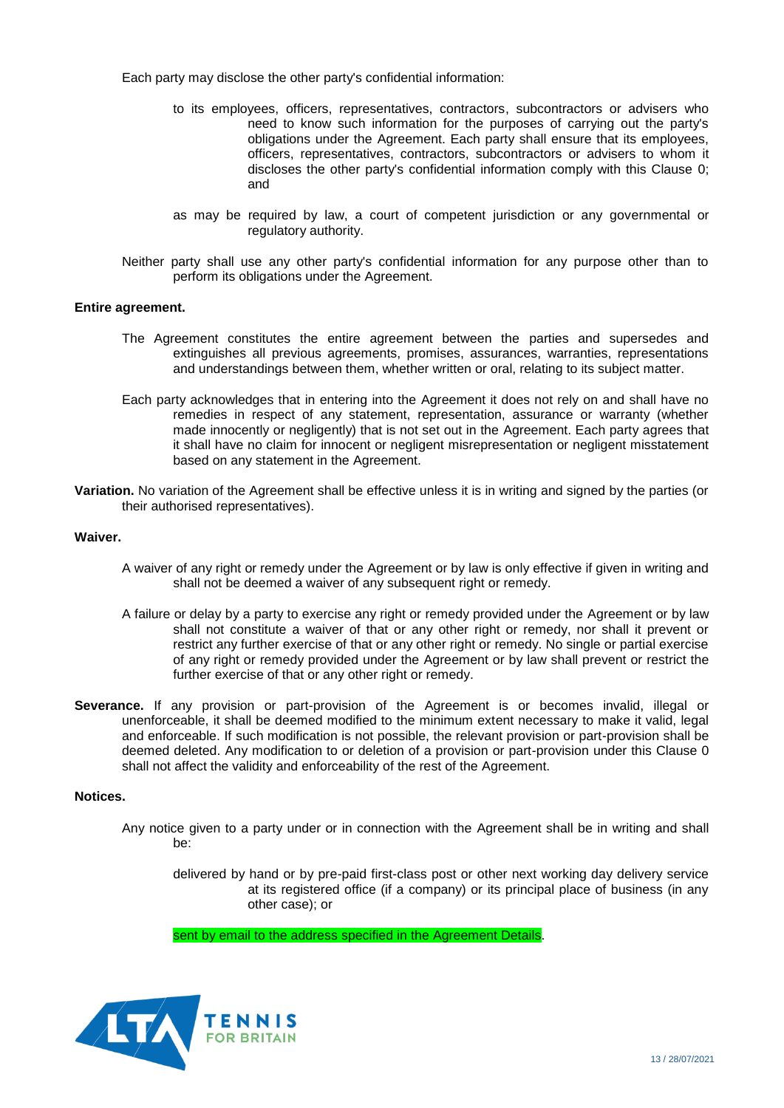Each party may disclose the other party's confidential information:

- to its employees, officers, representatives, contractors, subcontractors or advisers who need to know such information for the purposes of carrying out the party's obligations under the Agreement. Each party shall ensure that its employees, officers, representatives, contractors, subcontractors or advisers to whom it discloses the other party's confidential information comply with this Clause [0;](#page-11-1) and
- as may be required by law, a court of competent jurisdiction or any governmental or regulatory authority.
- Neither party shall use any other party's confidential information for any purpose other than to perform its obligations under the Agreement.

#### **Entire agreement.**

- The Agreement constitutes the entire agreement between the parties and supersedes and extinguishes all previous agreements, promises, assurances, warranties, representations and understandings between them, whether written or oral, relating to its subject matter.
- Each party acknowledges that in entering into the Agreement it does not rely on and shall have no remedies in respect of any statement, representation, assurance or warranty (whether made innocently or negligently) that is not set out in the Agreement. Each party agrees that it shall have no claim for innocent or negligent misrepresentation or negligent misstatement based on any statement in the Agreement.
- **Variation.** No variation of the Agreement shall be effective unless it is in writing and signed by the parties (or their authorised representatives).

#### **Waiver.**

- A waiver of any right or remedy under the Agreement or by law is only effective if given in writing and shall not be deemed a waiver of any subsequent right or remedy.
- A failure or delay by a party to exercise any right or remedy provided under the Agreement or by law shall not constitute a waiver of that or any other right or remedy, nor shall it prevent or restrict any further exercise of that or any other right or remedy. No single or partial exercise of any right or remedy provided under the Agreement or by law shall prevent or restrict the further exercise of that or any other right or remedy.
- <span id="page-12-0"></span>**Severance.** If any provision or part-provision of the Agreement is or becomes invalid, illegal or unenforceable, it shall be deemed modified to the minimum extent necessary to make it valid, legal and enforceable. If such modification is not possible, the relevant provision or part-provision shall be deemed deleted. Any modification to or deletion of a provision or part-provision under this Clause [0](#page-12-0) shall not affect the validity and enforceability of the rest of the Agreement.

#### <span id="page-12-2"></span>**Notices.**

<span id="page-12-1"></span>Any notice given to a party under or in connection with the Agreement shall be in writing and shall be:

delivered by hand or by pre-paid first-class post or other next working day delivery service at its registered office (if a company) or its principal place of business (in any other case); or

sent by email to the address specified in the Agreement Details.

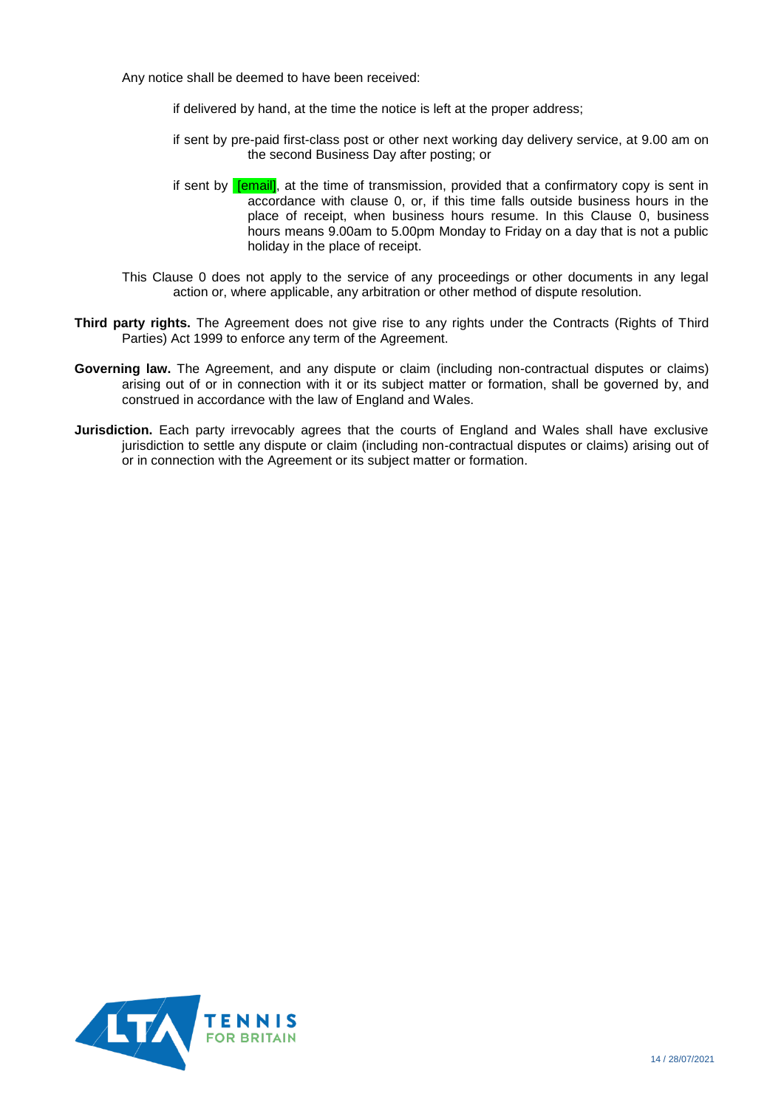Any notice shall be deemed to have been received:

if delivered by hand, at the time the notice is left at the proper address;

- if sent by pre-paid first-class post or other next working day delivery service, at 9.00 am on the second Business Day after posting; or
- <span id="page-13-0"></span>if sent by **[email]**, at the time of transmission, provided that a confirmatory copy is sent in accordance with clause [0,](#page-12-1) or, if this time falls outside business hours in the place of receipt, when business hours resume. In this Clause [0,](#page-13-0) business hours means 9.00am to 5.00pm Monday to Friday on a day that is not a public holiday in the place of receipt.
- This Clause [0](#page-12-2) does not apply to the service of any proceedings or other documents in any legal action or, where applicable, any arbitration or other method of dispute resolution.
- **Third party rights.** The Agreement does not give rise to any rights under the Contracts (Rights of Third Parties) Act 1999 to enforce any term of the Agreement.
- **Governing law.** The Agreement, and any dispute or claim (including non-contractual disputes or claims) arising out of or in connection with it or its subject matter or formation, shall be governed by, and construed in accordance with the law of England and Wales.
- **Jurisdiction.** Each party irrevocably agrees that the courts of England and Wales shall have exclusive jurisdiction to settle any dispute or claim (including non-contractual disputes or claims) arising out of or in connection with the Agreement or its subject matter or formation.

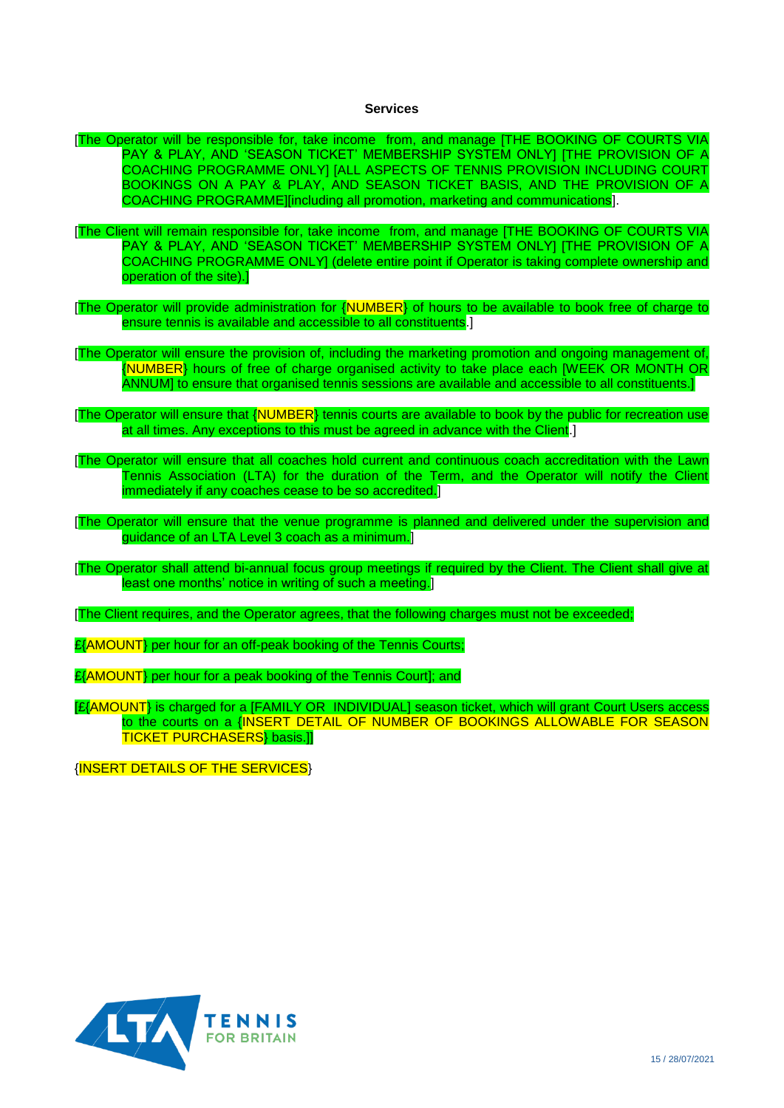#### **Services**

- <span id="page-14-0"></span>[The Operator will be responsible for, take income from, and manage [THE BOOKING OF COURTS VIA PAY & PLAY, AND 'SEASON TICKET' MEMBERSHIP SYSTEM ONLY] [THE PROVISION OF A COACHING PROGRAMME ONLY] [ALL ASPECTS OF TENNIS PROVISION INCLUDING COURT BOOKINGS ON A PAY & PLAY, AND SEASON TICKET BASIS, AND THE PROVISION OF A COACHING PROGRAMME][including all promotion, marketing and communications].
- [The Client will remain responsible for, take income from, and manage [THE BOOKING OF COURTS VIA PAY & PLAY, AND 'SEASON TICKET' MEMBERSHIP SYSTEM ONLY] [THE PROVISION OF A COACHING PROGRAMME ONLY] (delete entire point if Operator is taking complete ownership and operation of the site).]
- [The Operator will provide administration for {NUMBER} of hours to be available to book free of charge to ensure tennis is available and accessible to all constituents.]

[The Operator will ensure the provision of, including the marketing promotion and ongoing management of, {NUMBER} hours of free of charge organised activity to take place each [WEEK OR MONTH OR ANNUM] to ensure that organised tennis sessions are available and accessible to all constituents.]

[The Operator will ensure that {NUMBER} tennis courts are available to book by the public for recreation use at all times. Any exceptions to this must be agreed in advance with the Client.

[The Operator will ensure that all coaches hold current and continuous coach accreditation with the Lawn Tennis Association (LTA) for the duration of the Term, and the Operator will notify the Client immediately if any coaches cease to be so accredited.]

- [The Operator will ensure that the venue programme is planned and delivered under the supervision and guidance of an LTA Level 3 coach as a minimum.]
- [The Operator shall attend bi-annual focus group meetings if required by the Client. The Client shall give at least one months' notice in writing of such a meeting.

[The Client requires, and the Operator agrees, that the following charges must not be exceeded;

£{AMOUNT} per hour for an off-peak booking of the Tennis Courts:

£{AMOUNT} per hour for a peak booking of the Tennis Court]; and

[£{AMOUNT} is charged for a [FAMILY OR INDIVIDUAL] season ticket, which will grant Court Users access to the courts on a {INSERT DETAIL OF NUMBER OF BOOKINGS ALLOWABLE FOR SEASON TICKET PURCHASERS} basis.]]

{INSERT DETAILS OF THE SERVICES}

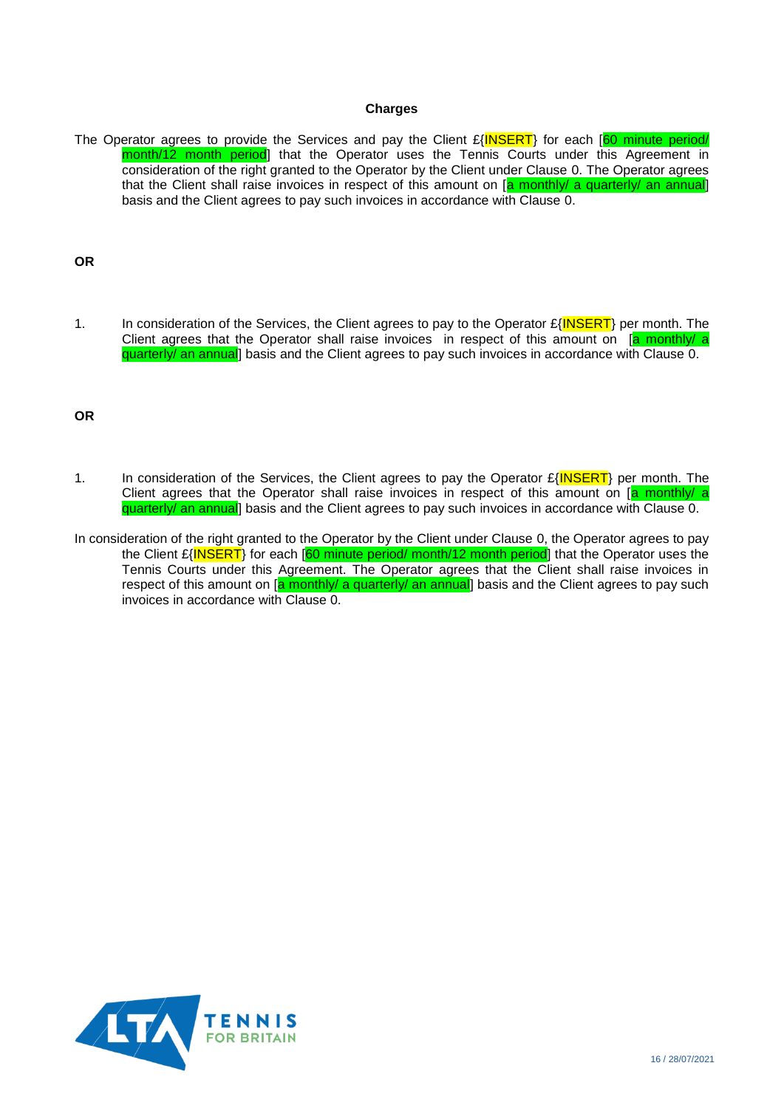## **Charges**

<span id="page-15-0"></span>The Operator agrees to provide the Services and pay the Client  $E\{\text{INSERT}\}$  for each  $[60 \text{ minute period}]\$ month/12 month period] that the Operator uses the Tennis Courts under this Agreement in consideration of the right granted to the Operator by the Client under Clause [0.](#page-5-2) The Operator agrees that the Client shall raise invoices in respect of this amount on [a monthly/ a quarterly/ an annual] basis and the Client agrees to pay such invoices in accordance with Clause [0.](#page-10-1)

## **OR**

1. In consideration of the Services, the Client agrees to pay to the Operator £{INSERT} per month. The Client agrees that the Operator shall raise invoices in respect of this amount on [a monthly/ a quarterly/ an annual] basis and the Client agrees to pay such invoices in accordance with Clause [0.](#page-10-1)

## **OR**

- 1. In consideration of the Services, the Client agrees to pay the Operator  $E\{INSERT\}$  per month. The Client agrees that the Operator shall raise invoices in respect of this amount on [a monthly/ a quarterly/ an annual] basis and the Client agrees to pay such invoices in accordance with Clause [0.](#page-10-1)
- In consideration of the right granted to the Operator by the Client under Clause [0,](#page-5-2) the Operator agrees to pay the Client £{INSERT} for each [60 minute period/ month/12 month period] that the Operator uses the Tennis Courts under this Agreement. The Operator agrees that the Client shall raise invoices in respect of this amount on [a monthly/ a quarterly/ an annual] basis and the Client agrees to pay such invoices in accordance with Clause [0.](#page-10-1)

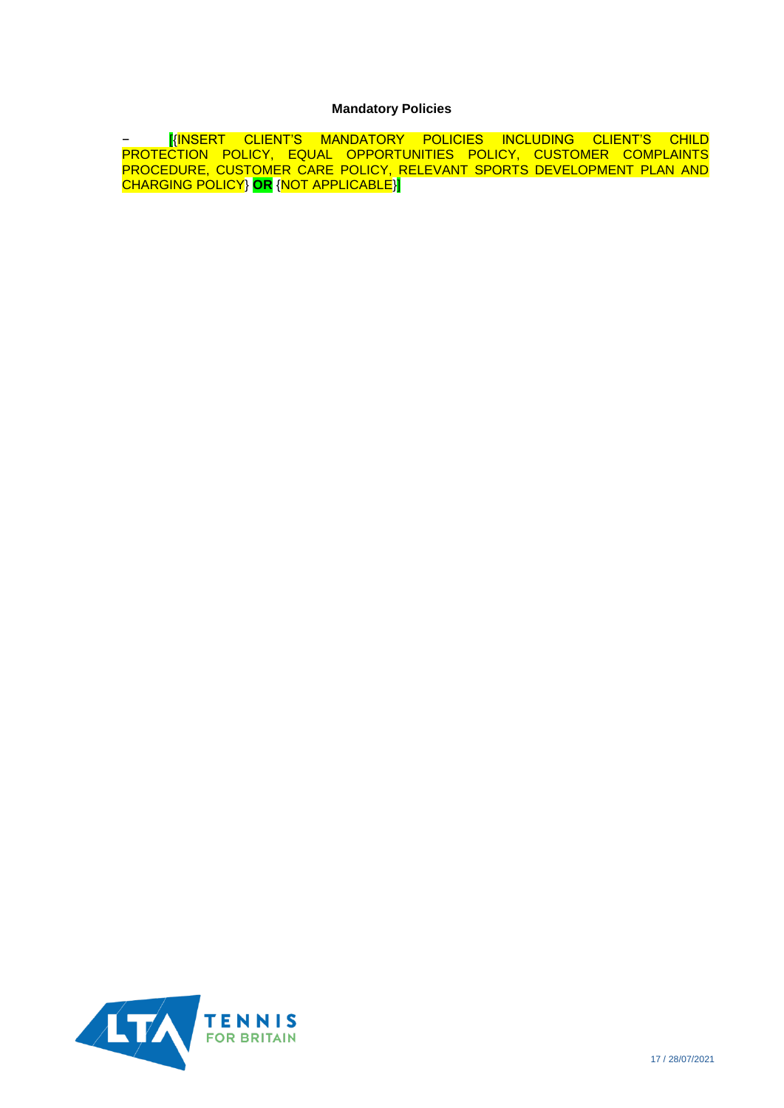## **Mandatory Policies**

<span id="page-16-0"></span>− [{INSERT CLIENT'S MANDATORY POLICIES INCLUDING CLIENT'S CHILD PROTECTION POLICY, EQUAL OPPORTUNITIES POLICY, CUSTOMER COMPLAINTS PROCEDURE, CUSTOMER CARE POLICY, RELEVANT SPORTS DEVELOPMENT PLAN AND CHARGING POLICY} **OR** {NOT APPLICABLE}]